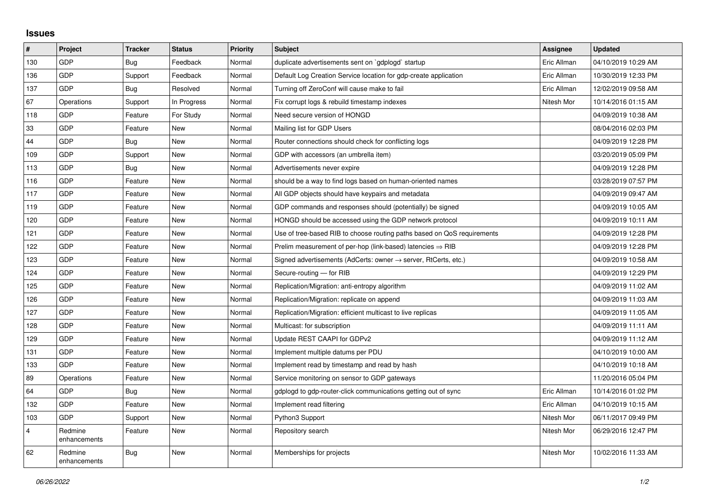## **Issues**

| $\sharp$       | Project                 | <b>Tracker</b> | <b>Status</b> | <b>Priority</b> | <b>Subject</b>                                                          | Assignee    | <b>Updated</b>      |
|----------------|-------------------------|----------------|---------------|-----------------|-------------------------------------------------------------------------|-------------|---------------------|
| 130            | <b>GDP</b>              | Bug            | Feedback      | Normal          | duplicate advertisements sent on `gdplogd` startup                      | Eric Allman | 04/10/2019 10:29 AM |
| 136            | <b>GDP</b>              | Support        | Feedback      | Normal          | Default Log Creation Service location for gdp-create application        | Eric Allman | 10/30/2019 12:33 PM |
| 137            | <b>GDP</b>              | Bug            | Resolved      | Normal          | Turning off ZeroConf will cause make to fail                            | Eric Allman | 12/02/2019 09:58 AM |
| 67             | Operations              | Support        | In Progress   | Normal          | Fix corrupt logs & rebuild timestamp indexes                            | Nitesh Mor  | 10/14/2016 01:15 AM |
| 118            | <b>GDP</b>              | Feature        | For Study     | Normal          | Need secure version of HONGD                                            |             | 04/09/2019 10:38 AM |
| 33             | <b>GDP</b>              | Feature        | <b>New</b>    | Normal          | Mailing list for GDP Users                                              |             | 08/04/2016 02:03 PM |
| 44             | <b>GDP</b>              | Bug            | <b>New</b>    | Normal          | Router connections should check for conflicting logs                    |             | 04/09/2019 12:28 PM |
| 109            | <b>GDP</b>              | Support        | <b>New</b>    | Normal          | GDP with accessors (an umbrella item)                                   |             | 03/20/2019 05:09 PM |
| 113            | <b>GDP</b>              | Bug            | <b>New</b>    | Normal          | Advertisements never expire                                             |             | 04/09/2019 12:28 PM |
| 116            | <b>GDP</b>              | Feature        | <b>New</b>    | Normal          | should be a way to find logs based on human-oriented names              |             | 03/28/2019 07:57 PM |
| 117            | <b>GDP</b>              | Feature        | <b>New</b>    | Normal          | All GDP objects should have keypairs and metadata                       |             | 04/09/2019 09:47 AM |
| 119            | <b>GDP</b>              | Feature        | <b>New</b>    | Normal          | GDP commands and responses should (potentially) be signed               |             | 04/09/2019 10:05 AM |
| 120            | <b>GDP</b>              | Feature        | <b>New</b>    | Normal          | HONGD should be accessed using the GDP network protocol                 |             | 04/09/2019 10:11 AM |
| 121            | <b>GDP</b>              | Feature        | <b>New</b>    | Normal          | Use of tree-based RIB to choose routing paths based on QoS requirements |             | 04/09/2019 12:28 PM |
| 122            | <b>GDP</b>              | Feature        | <b>New</b>    | Normal          | Prelim measurement of per-hop (link-based) latencies $\Rightarrow$ RIB  |             | 04/09/2019 12:28 PM |
| 123            | <b>GDP</b>              | Feature        | <b>New</b>    | Normal          | Signed advertisements (AdCerts: owner → server, RtCerts, etc.)          |             | 04/09/2019 10:58 AM |
| 124            | <b>GDP</b>              | Feature        | <b>New</b>    | Normal          | Secure-routing - for RIB                                                |             | 04/09/2019 12:29 PM |
| 125            | <b>GDP</b>              | Feature        | New           | Normal          | Replication/Migration: anti-entropy algorithm                           |             | 04/09/2019 11:02 AM |
| 126            | <b>GDP</b>              | Feature        | <b>New</b>    | Normal          | Replication/Migration: replicate on append                              |             | 04/09/2019 11:03 AM |
| 127            | <b>GDP</b>              | Feature        | <b>New</b>    | Normal          | Replication/Migration: efficient multicast to live replicas             |             | 04/09/2019 11:05 AM |
| 128            | <b>GDP</b>              | Feature        | <b>New</b>    | Normal          | Multicast: for subscription                                             |             | 04/09/2019 11:11 AM |
| 129            | <b>GDP</b>              | Feature        | <b>New</b>    | Normal          | Update REST CAAPI for GDPv2                                             |             | 04/09/2019 11:12 AM |
| 131            | <b>GDP</b>              | Feature        | <b>New</b>    | Normal          | Implement multiple datums per PDU                                       |             | 04/10/2019 10:00 AM |
| 133            | <b>GDP</b>              | Feature        | <b>New</b>    | Normal          | Implement read by timestamp and read by hash                            |             | 04/10/2019 10:18 AM |
| 89             | Operations              | Feature        | <b>New</b>    | Normal          | Service monitoring on sensor to GDP gateways                            |             | 11/20/2016 05:04 PM |
| 64             | <b>GDP</b>              | Bug            | New           | Normal          | gdplogd to gdp-router-click communications getting out of sync          | Eric Allman | 10/14/2016 01:02 PM |
| 132            | <b>GDP</b>              | Feature        | <b>New</b>    | Normal          | Implement read filtering                                                | Eric Allman | 04/10/2019 10:15 AM |
| 103            | <b>GDP</b>              | Support        | <b>New</b>    | Normal          | Python3 Support                                                         | Nitesh Mor  | 06/11/2017 09:49 PM |
| $\overline{4}$ | Redmine<br>enhancements | Feature        | <b>New</b>    | Normal          | Repository search                                                       | Nitesh Mor  | 06/29/2016 12:47 PM |
| 62             | Redmine<br>enhancements | Bug            | <b>New</b>    | Normal          | Memberships for projects                                                | Nitesh Mor  | 10/02/2016 11:33 AM |